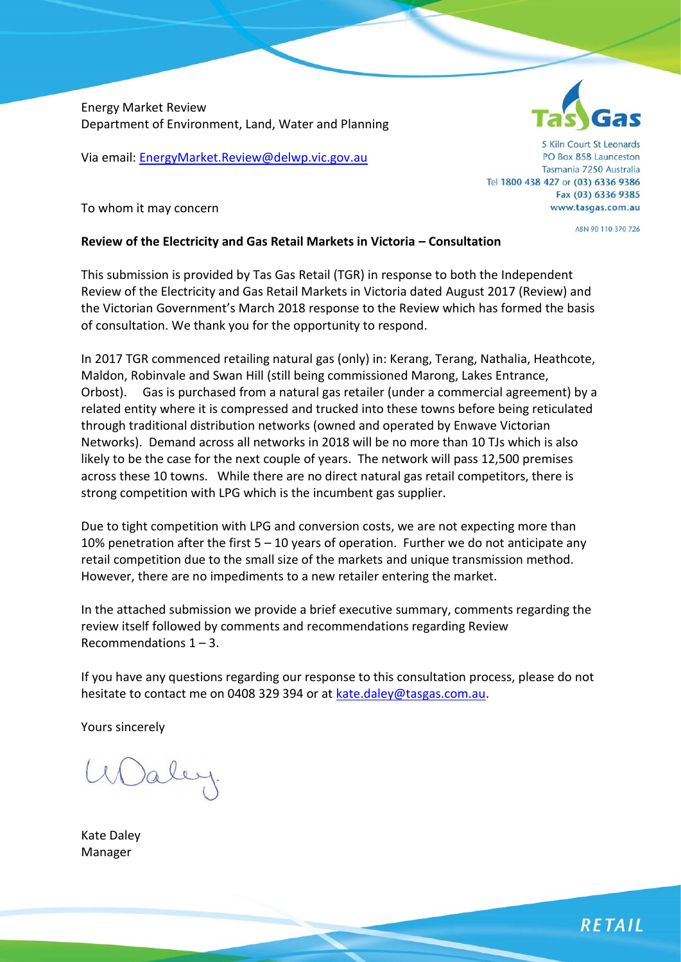Energy Market Review Department of Environment, Land, Water and Planning

Via email[: EnergyMarket.Review@delwp.vic.gov.au](mailto:EnergyMarket.Review@delwp.vic.gov.au)

5 Kiln Court St Leonards PO Box 858 Launceston Tasmania 7250 Australia Tel 1800 438 427 or (03) 6336 9386 Fax (03) 6336 9385 www.tasgas.com.au

ABN 90 110 370 726

To whom it may concern

### **Review of the Electricity and Gas Retail Markets in Victoria – Consultation**

This submission is provided by Tas Gas Retail (TGR) in response to both the Independent Review of the Electricity and Gas Retail Markets in Victoria dated August 2017 (Review) and the Victorian Government's March 2018 response to the Review which has formed the basis of consultation. We thank you for the opportunity to respond.

In 2017 TGR commenced retailing natural gas (only) in: Kerang, Terang, Nathalia, Heathcote, Maldon, Robinvale and Swan Hill (still being commissioned Marong, Lakes Entrance, Orbost). Gas is purchased from a natural gas retailer (under a commercial agreement) by a related entity where it is compressed and trucked into these towns before being reticulated through traditional distribution networks (owned and operated by Enwave Victorian Networks). Demand across all networks in 2018 will be no more than 10 TJs which is also likely to be the case for the next couple of years. The network will pass 12,500 premises across these 10 towns. While there are no direct natural gas retail competitors, there is strong competition with LPG which is the incumbent gas supplier.

Due to tight competition with LPG and conversion costs, we are not expecting more than 10% penetration after the first  $5 - 10$  years of operation. Further we do not anticipate any retail competition due to the small size of the markets and unique transmission method. However, there are no impediments to a new retailer entering the market.

In the attached submission we provide a brief executive summary, comments regarding the review itself followed by comments and recommendations regarding Review Recommendations  $1 - 3$ .

If you have any questions regarding our response to this consultation process, please do not hesitate to contact me on 0408 329 394 or at [kate.daley@tasgas.com.au.](mailto:kate.daley@tasgas.com.au)

Yours sincerely

Kate Daley Manager

**RETAIL**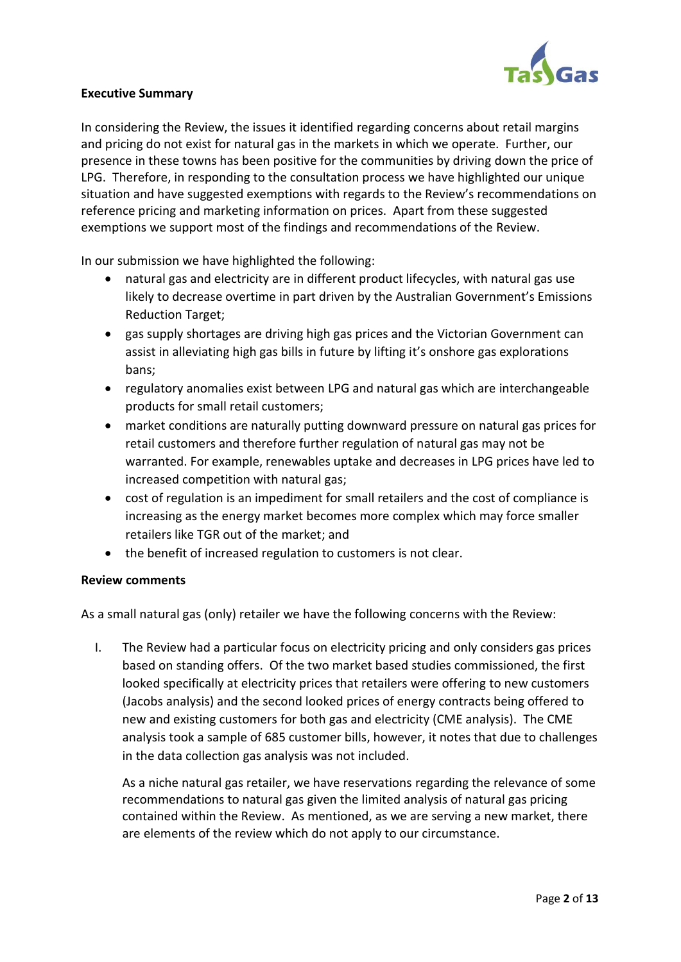

### **Executive Summary**

In considering the Review, the issues it identified regarding concerns about retail margins and pricing do not exist for natural gas in the markets in which we operate. Further, our presence in these towns has been positive for the communities by driving down the price of LPG. Therefore, in responding to the consultation process we have highlighted our unique situation and have suggested exemptions with regards to the Review's recommendations on reference pricing and marketing information on prices. Apart from these suggested exemptions we support most of the findings and recommendations of the Review.

In our submission we have highlighted the following:

- natural gas and electricity are in different product lifecycles, with natural gas use likely to decrease overtime in part driven by the Australian Government's Emissions Reduction Target;
- gas supply shortages are driving high gas prices and the Victorian Government can assist in alleviating high gas bills in future by lifting it's onshore gas explorations bans;
- regulatory anomalies exist between LPG and natural gas which are interchangeable products for small retail customers;
- market conditions are naturally putting downward pressure on natural gas prices for retail customers and therefore further regulation of natural gas may not be warranted. For example, renewables uptake and decreases in LPG prices have led to increased competition with natural gas;
- cost of regulation is an impediment for small retailers and the cost of compliance is increasing as the energy market becomes more complex which may force smaller retailers like TGR out of the market; and
- the benefit of increased regulation to customers is not clear.

### **Review comments**

As a small natural gas (only) retailer we have the following concerns with the Review:

I. The Review had a particular focus on electricity pricing and only considers gas prices based on standing offers. Of the two market based studies commissioned, the first looked specifically at electricity prices that retailers were offering to new customers (Jacobs analysis) and the second looked prices of energy contracts being offered to new and existing customers for both gas and electricity (CME analysis). The CME analysis took a sample of 685 customer bills, however, it notes that due to challenges in the data collection gas analysis was not included.

As a niche natural gas retailer, we have reservations regarding the relevance of some recommendations to natural gas given the limited analysis of natural gas pricing contained within the Review. As mentioned, as we are serving a new market, there are elements of the review which do not apply to our circumstance.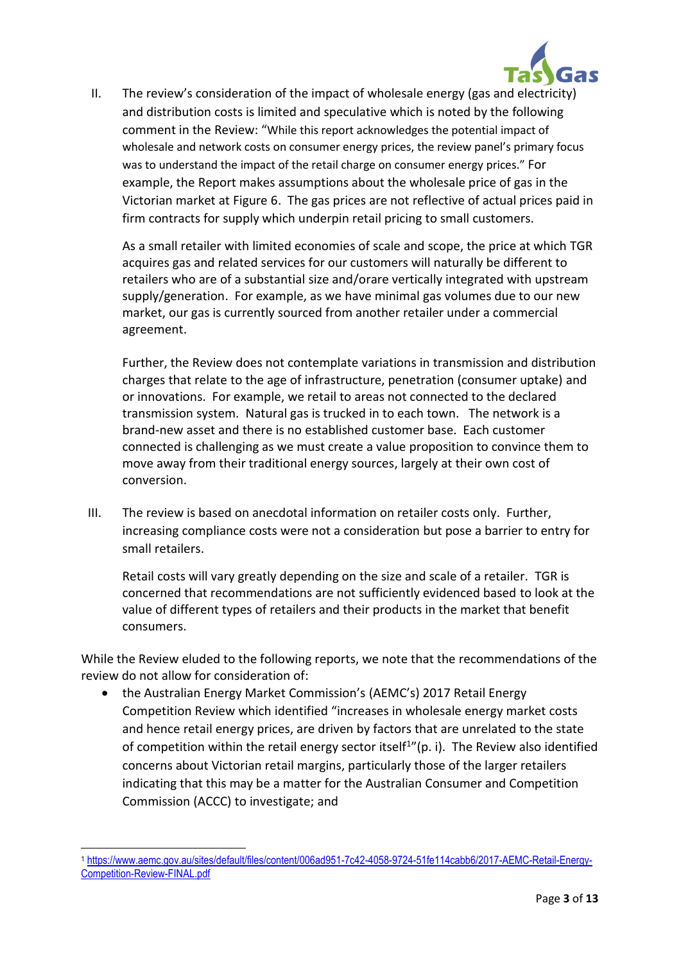

II. The review's consideration of the impact of wholesale energy (gas and electricity) and distribution costs is limited and speculative which is noted by the following comment in the Review: "While this report acknowledges the potential impact of wholesale and network costs on consumer energy prices, the review panel's primary focus was to understand the impact of the retail charge on consumer energy prices." For example, the Report makes assumptions about the wholesale price of gas in the Victorian market at Figure 6. The gas prices are not reflective of actual prices paid in firm contracts for supply which underpin retail pricing to small customers.

As a small retailer with limited economies of scale and scope, the price at which TGR acquires gas and related services for our customers will naturally be different to retailers who are of a substantial size and/orare vertically integrated with upstream supply/generation. For example, as we have minimal gas volumes due to our new market, our gas is currently sourced from another retailer under a commercial agreement.

Further, the Review does not contemplate variations in transmission and distribution charges that relate to the age of infrastructure, penetration (consumer uptake) and or innovations. For example, we retail to areas not connected to the declared transmission system. Natural gas is trucked in to each town. The network is a brand-new asset and there is no established customer base. Each customer connected is challenging as we must create a value proposition to convince them to move away from their traditional energy sources, largely at their own cost of conversion.

III. The review is based on anecdotal information on retailer costs only. Further, increasing compliance costs were not a consideration but pose a barrier to entry for small retailers.

Retail costs will vary greatly depending on the size and scale of a retailer. TGR is concerned that recommendations are not sufficiently evidenced based to look at the value of different types of retailers and their products in the market that benefit consumers.

While the Review eluded to the following reports, we note that the recommendations of the review do not allow for consideration of:

• the Australian Energy Market Commission's (AEMC's) 2017 Retail Energy Competition Review which identified "increases in wholesale energy market costs and hence retail energy prices, are driven by factors that are unrelated to the state of competition within the retail energy sector itself<sup>1</sup>"(p. i). The Review also identified concerns about Victorian retail margins, particularly those of the larger retailers indicating that this may be a matter for the Australian Consumer and Competition Commission (ACCC) to investigate; and

l

<sup>1</sup> [https://www.aemc.gov.au/sites/default/files/content/006ad951-7c42-4058-9724-51fe114cabb6/2017-AEMC-Retail-Energy-](https://www.aemc.gov.au/sites/default/files/content/006ad951-7c42-4058-9724-51fe114cabb6/2017-AEMC-Retail-Energy-Competition-Review-FINAL.pdf)[Competition-Review-FINAL.pdf](https://www.aemc.gov.au/sites/default/files/content/006ad951-7c42-4058-9724-51fe114cabb6/2017-AEMC-Retail-Energy-Competition-Review-FINAL.pdf)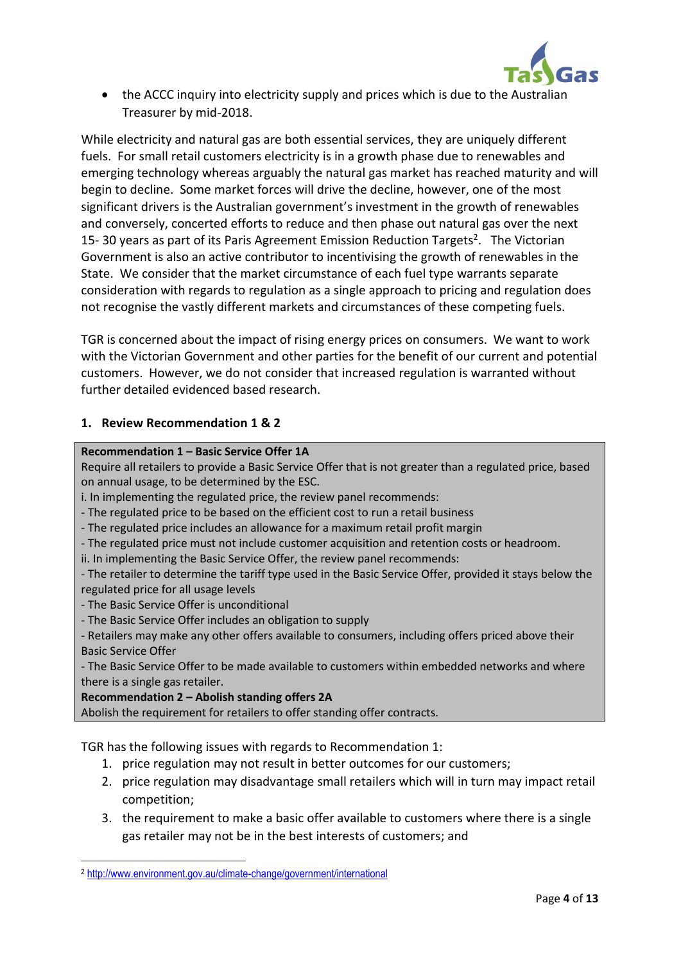

• the ACCC inquiry into electricity supply and prices which is due to the Australian Treasurer by mid-2018.

While electricity and natural gas are both essential services, they are uniquely different fuels. For small retail customers electricity is in a growth phase due to renewables and emerging technology whereas arguably the natural gas market has reached maturity and will begin to decline. Some market forces will drive the decline, however, one of the most significant drivers is the Australian government's investment in the growth of renewables and conversely, concerted efforts to reduce and then phase out natural gas over the next 15-30 years as part of its Paris Agreement Emission Reduction Targets<sup>2</sup>. The Victorian Government is also an active contributor to incentivising the growth of renewables in the State. We consider that the market circumstance of each fuel type warrants separate consideration with regards to regulation as a single approach to pricing and regulation does not recognise the vastly different markets and circumstances of these competing fuels.

TGR is concerned about the impact of rising energy prices on consumers. We want to work with the Victorian Government and other parties for the benefit of our current and potential customers. However, we do not consider that increased regulation is warranted without further detailed evidenced based research.

## **1. Review Recommendation 1 & 2**

#### **Recommendation 1 – Basic Service Offer 1A**

Require all retailers to provide a Basic Service Offer that is not greater than a regulated price, based on annual usage, to be determined by the ESC.

i. In implementing the regulated price, the review panel recommends:

- The regulated price to be based on the efficient cost to run a retail business
- The regulated price includes an allowance for a maximum retail profit margin
- The regulated price must not include customer acquisition and retention costs or headroom.
- ii. In implementing the Basic Service Offer, the review panel recommends:

- The retailer to determine the tariff type used in the Basic Service Offer, provided it stays below the regulated price for all usage levels

- The Basic Service Offer is unconditional

 $\overline{a}$ 

- The Basic Service Offer includes an obligation to supply
- Retailers may make any other offers available to consumers, including offers priced above their Basic Service Offer

- The Basic Service Offer to be made available to customers within embedded networks and where there is a single gas retailer.

#### **Recommendation 2 – Abolish standing offers 2A**

Abolish the requirement for retailers to offer standing offer contracts.

TGR has the following issues with regards to Recommendation 1:

- 1. price regulation may not result in better outcomes for our customers;
- 2. price regulation may disadvantage small retailers which will in turn may impact retail competition;
- 3. the requirement to make a basic offer available to customers where there is a single gas retailer may not be in the best interests of customers; and

<sup>2</sup> <http://www.environment.gov.au/climate-change/government/international>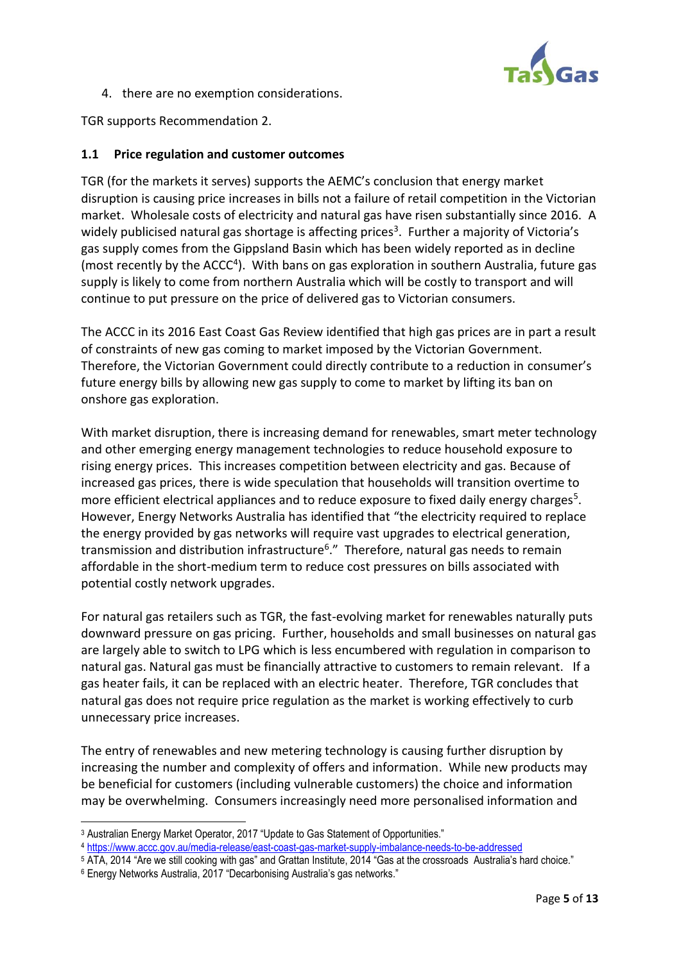

4. there are no exemption considerations.

TGR supports Recommendation 2.

### **1.1 Price regulation and customer outcomes**

TGR (for the markets it serves) supports the AEMC's conclusion that energy market disruption is causing price increases in bills not a failure of retail competition in the Victorian market. Wholesale costs of electricity and natural gas have risen substantially since 2016. A widely publicised natural gas shortage is affecting prices<sup>3</sup>. Further a majority of Victoria's gas supply comes from the Gippsland Basin which has been widely reported as in decline (most recently by the ACCC<sup>4</sup>). With bans on gas exploration in southern Australia, future gas supply is likely to come from northern Australia which will be costly to transport and will continue to put pressure on the price of delivered gas to Victorian consumers.

The ACCC in its 2016 East Coast Gas Review identified that high gas prices are in part a result of constraints of new gas coming to market imposed by the Victorian Government. Therefore, the Victorian Government could directly contribute to a reduction in consumer's future energy bills by allowing new gas supply to come to market by lifting its ban on onshore gas exploration.

With market disruption, there is increasing demand for renewables, smart meter technology and other emerging energy management technologies to reduce household exposure to rising energy prices. This increases competition between electricity and gas. Because of increased gas prices, there is wide speculation that households will transition overtime to more efficient electrical appliances and to reduce exposure to fixed daily energy charges<sup>5</sup>. However, Energy Networks Australia has identified that "the electricity required to replace the energy provided by gas networks will require vast upgrades to electrical generation, transmission and distribution infrastructure<sup>6</sup>." Therefore, natural gas needs to remain affordable in the short-medium term to reduce cost pressures on bills associated with potential costly network upgrades.

For natural gas retailers such as TGR, the fast-evolving market for renewables naturally puts downward pressure on gas pricing. Further, households and small businesses on natural gas are largely able to switch to LPG which is less encumbered with regulation in comparison to natural gas. Natural gas must be financially attractive to customers to remain relevant. If a gas heater fails, it can be replaced with an electric heater. Therefore, TGR concludes that natural gas does not require price regulation as the market is working effectively to curb unnecessary price increases.

The entry of renewables and new metering technology is causing further disruption by increasing the number and complexity of offers and information. While new products may be beneficial for customers (including vulnerable customers) the choice and information may be overwhelming. Consumers increasingly need more personalised information and

 $\overline{\phantom{0}}$ 

<sup>&</sup>lt;sup>3</sup> Australian Energy Market Operator, 2017 "Update to Gas Statement of Opportunities."

<sup>4</sup> <https://www.accc.gov.au/media-release/east-coast-gas-market-supply-imbalance-needs-to-be-addressed>

<sup>&</sup>lt;sup>5</sup> ATA, 2014 "Are we still cooking with gas" and Grattan Institute, 2014 "Gas at the crossroads Australia's hard choice."

<sup>6</sup> Energy Networks Australia, 2017 "Decarbonising Australia's gas networks."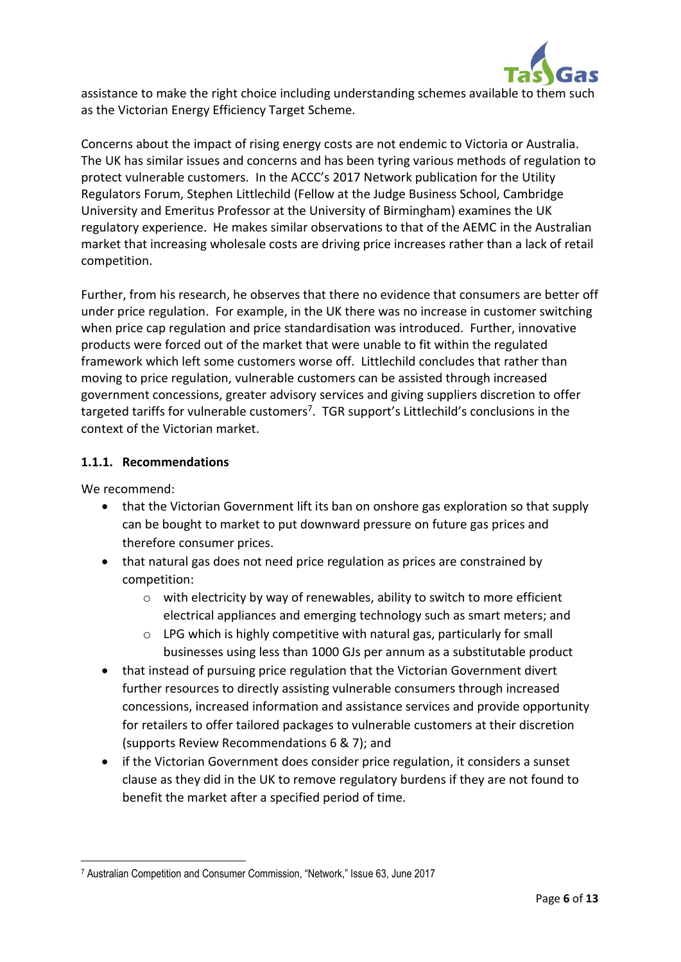

assistance to make the right choice including understanding schemes available to them such as the Victorian Energy Efficiency Target Scheme.

Concerns about the impact of rising energy costs are not endemic to Victoria or Australia. The UK has similar issues and concerns and has been tyring various methods of regulation to protect vulnerable customers. In the ACCC's 2017 Network publication for the Utility Regulators Forum, Stephen Littlechild (Fellow at the Judge Business School, Cambridge University and Emeritus Professor at the University of Birmingham) examines the UK regulatory experience. He makes similar observations to that of the AEMC in the Australian market that increasing wholesale costs are driving price increases rather than a lack of retail competition.

Further, from his research, he observes that there no evidence that consumers are better off under price regulation. For example, in the UK there was no increase in customer switching when price cap regulation and price standardisation was introduced. Further, innovative products were forced out of the market that were unable to fit within the regulated framework which left some customers worse off. Littlechild concludes that rather than moving to price regulation, vulnerable customers can be assisted through increased government concessions, greater advisory services and giving suppliers discretion to offer targeted tariffs for vulnerable customers<sup>7</sup>. TGR support's Littlechild's conclusions in the context of the Victorian market.

# **1.1.1. Recommendations**

We recommend:

- that the Victorian Government lift its ban on onshore gas exploration so that supply can be bought to market to put downward pressure on future gas prices and therefore consumer prices.
- that natural gas does not need price regulation as prices are constrained by competition:
	- o with electricity by way of renewables, ability to switch to more efficient electrical appliances and emerging technology such as smart meters; and
	- o LPG which is highly competitive with natural gas, particularly for small businesses using less than 1000 GJs per annum as a substitutable product
- that instead of pursuing price regulation that the Victorian Government divert further resources to directly assisting vulnerable consumers through increased concessions, increased information and assistance services and provide opportunity for retailers to offer tailored packages to vulnerable customers at their discretion (supports Review Recommendations 6 & 7); and
- if the Victorian Government does consider price regulation, it considers a sunset clause as they did in the UK to remove regulatory burdens if they are not found to benefit the market after a specified period of time.

 $\overline{a}$ <sup>7</sup> Australian Competition and Consumer Commission, "Network," Issue 63, June 2017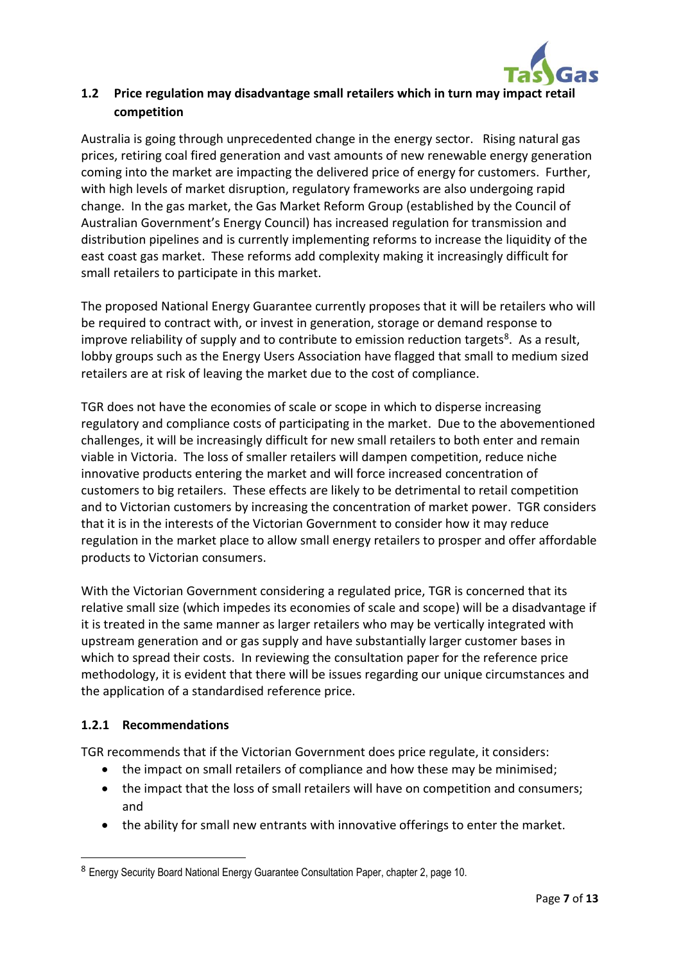

# **1.2 Price regulation may disadvantage small retailers which in turn may impact retail competition**

Australia is going through unprecedented change in the energy sector. Rising natural gas prices, retiring coal fired generation and vast amounts of new renewable energy generation coming into the market are impacting the delivered price of energy for customers. Further, with high levels of market disruption, regulatory frameworks are also undergoing rapid change. In the gas market, the Gas Market Reform Group (established by the Council of Australian Government's Energy Council) has increased regulation for transmission and distribution pipelines and is currently implementing reforms to increase the liquidity of the east coast gas market. These reforms add complexity making it increasingly difficult for small retailers to participate in this market.

The proposed National Energy Guarantee currently proposes that it will be retailers who will be required to contract with, or invest in generation, storage or demand response to improve reliability of supply and to contribute to emission reduction targets<sup>8</sup>. As a result, lobby groups such as the Energy Users Association have flagged that small to medium sized retailers are at risk of leaving the market due to the cost of compliance.

TGR does not have the economies of scale or scope in which to disperse increasing regulatory and compliance costs of participating in the market. Due to the abovementioned challenges, it will be increasingly difficult for new small retailers to both enter and remain viable in Victoria. The loss of smaller retailers will dampen competition, reduce niche innovative products entering the market and will force increased concentration of customers to big retailers. These effects are likely to be detrimental to retail competition and to Victorian customers by increasing the concentration of market power. TGR considers that it is in the interests of the Victorian Government to consider how it may reduce regulation in the market place to allow small energy retailers to prosper and offer affordable products to Victorian consumers.

With the Victorian Government considering a regulated price, TGR is concerned that its relative small size (which impedes its economies of scale and scope) will be a disadvantage if it is treated in the same manner as larger retailers who may be vertically integrated with upstream generation and or gas supply and have substantially larger customer bases in which to spread their costs. In reviewing the consultation paper for the reference price methodology, it is evident that there will be issues regarding our unique circumstances and the application of a standardised reference price.

# **1.2.1 Recommendations**

 $\overline{a}$ 

TGR recommends that if the Victorian Government does price regulate, it considers:

- the impact on small retailers of compliance and how these may be minimised;
- the impact that the loss of small retailers will have on competition and consumers; and
- the ability for small new entrants with innovative offerings to enter the market.

<sup>8</sup> Energy Security Board National Energy Guarantee Consultation Paper, chapter 2, page 10.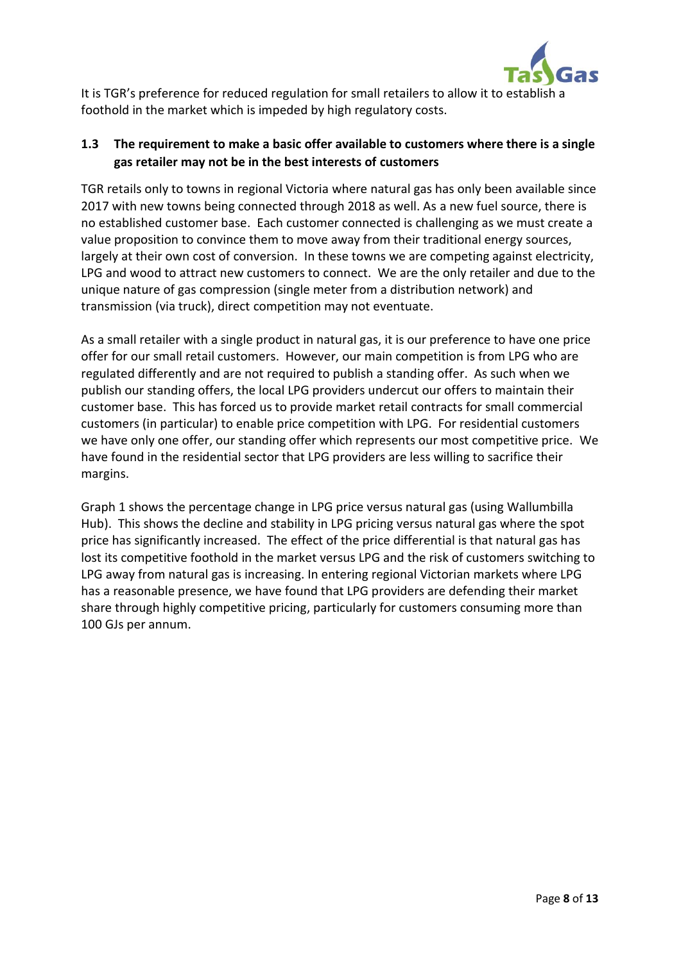

It is TGR's preference for reduced regulation for small retailers to allow it to establish a foothold in the market which is impeded by high regulatory costs.

# **1.3 The requirement to make a basic offer available to customers where there is a single gas retailer may not be in the best interests of customers**

TGR retails only to towns in regional Victoria where natural gas has only been available since 2017 with new towns being connected through 2018 as well. As a new fuel source, there is no established customer base. Each customer connected is challenging as we must create a value proposition to convince them to move away from their traditional energy sources, largely at their own cost of conversion. In these towns we are competing against electricity, LPG and wood to attract new customers to connect. We are the only retailer and due to the unique nature of gas compression (single meter from a distribution network) and transmission (via truck), direct competition may not eventuate.

As a small retailer with a single product in natural gas, it is our preference to have one price offer for our small retail customers. However, our main competition is from LPG who are regulated differently and are not required to publish a standing offer. As such when we publish our standing offers, the local LPG providers undercut our offers to maintain their customer base. This has forced us to provide market retail contracts for small commercial customers (in particular) to enable price competition with LPG. For residential customers we have only one offer, our standing offer which represents our most competitive price. We have found in the residential sector that LPG providers are less willing to sacrifice their margins.

Graph 1 shows the percentage change in LPG price versus natural gas (using Wallumbilla Hub). This shows the decline and stability in LPG pricing versus natural gas where the spot price has significantly increased. The effect of the price differential is that natural gas has lost its competitive foothold in the market versus LPG and the risk of customers switching to LPG away from natural gas is increasing. In entering regional Victorian markets where LPG has a reasonable presence, we have found that LPG providers are defending their market share through highly competitive pricing, particularly for customers consuming more than 100 GJs per annum.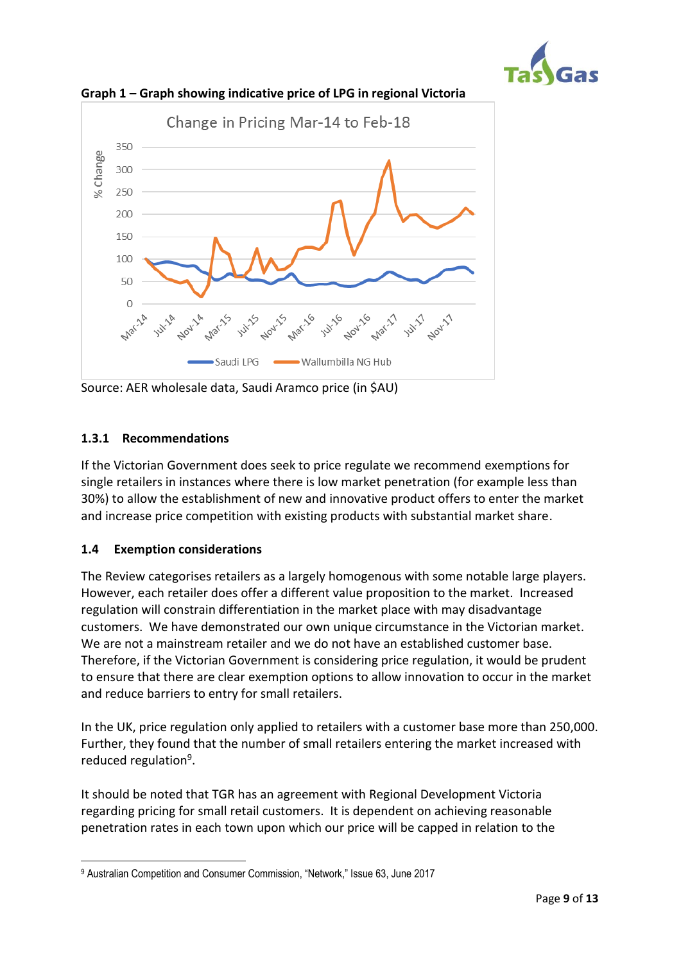



**Graph 1 – Graph showing indicative price of LPG in regional Victoria**

Source: AER wholesale data, Saudi Aramco price (in \$AU)

## **1.3.1 Recommendations**

If the Victorian Government does seek to price regulate we recommend exemptions for single retailers in instances where there is low market penetration (for example less than 30%) to allow the establishment of new and innovative product offers to enter the market and increase price competition with existing products with substantial market share.

### **1.4 Exemption considerations**

The Review categorises retailers as a largely homogenous with some notable large players. However, each retailer does offer a different value proposition to the market. Increased regulation will constrain differentiation in the market place with may disadvantage customers. We have demonstrated our own unique circumstance in the Victorian market. We are not a mainstream retailer and we do not have an established customer base. Therefore, if the Victorian Government is considering price regulation, it would be prudent to ensure that there are clear exemption options to allow innovation to occur in the market and reduce barriers to entry for small retailers.

In the UK, price regulation only applied to retailers with a customer base more than 250,000. Further, they found that the number of small retailers entering the market increased with reduced regulation<sup>9</sup>.

It should be noted that TGR has an agreement with Regional Development Victoria regarding pricing for small retail customers. It is dependent on achieving reasonable penetration rates in each town upon which our price will be capped in relation to the

 $\overline{a}$ <sup>9</sup> Australian Competition and Consumer Commission, "Network," Issue 63, June 2017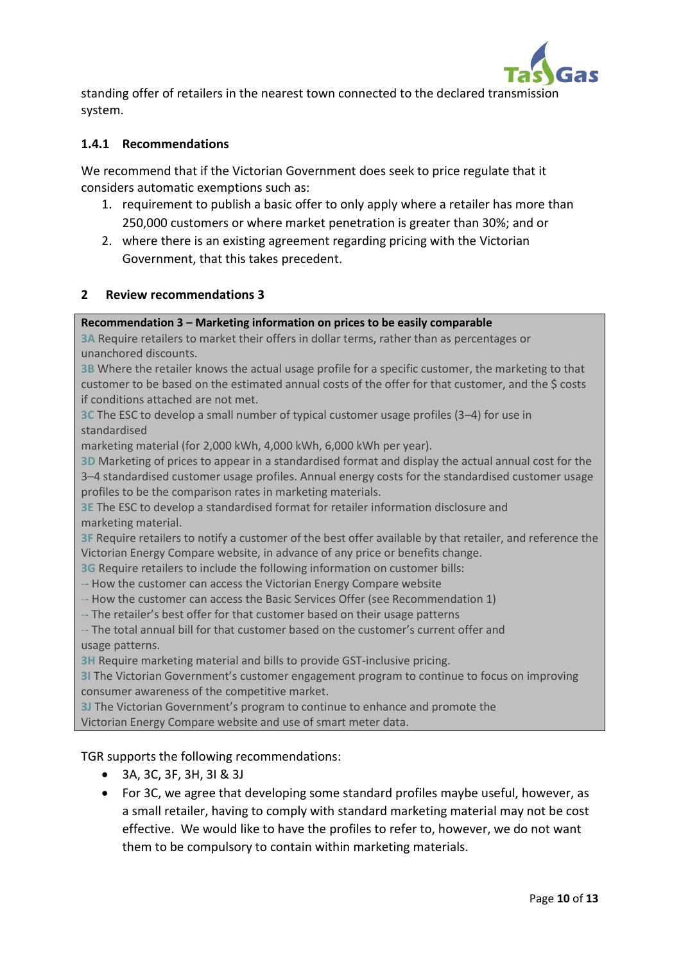

standing offer of retailers in the nearest town connected to the declared transmission system.

## **1.4.1 Recommendations**

We recommend that if the Victorian Government does seek to price regulate that it considers automatic exemptions such as:

- 1. requirement to publish a basic offer to only apply where a retailer has more than 250,000 customers or where market penetration is greater than 30%; and or
- 2. where there is an existing agreement regarding pricing with the Victorian Government, that this takes precedent.

#### **2 Review recommendations 3**

#### **Recommendation 3 – Marketing information on prices to be easily comparable**

**3A** Require retailers to market their offers in dollar terms, rather than as percentages or unanchored discounts.

**3B** Where the retailer knows the actual usage profile for a specific customer, the marketing to that customer to be based on the estimated annual costs of the offer for that customer, and the \$ costs if conditions attached are not met.

**3C** The ESC to develop a small number of typical customer usage profiles (3–4) for use in standardised

marketing material (for 2,000 kWh, 4,000 kWh, 6,000 kWh per year).

**3D** Marketing of prices to appear in a standardised format and display the actual annual cost for the 3–4 standardised customer usage profiles. Annual energy costs for the standardised customer usage profiles to be the comparison rates in marketing materials.

**3E** The ESC to develop a standardised format for retailer information disclosure and marketing material.

**3F** Require retailers to notify a customer of the best offer available by that retailer, and reference the Victorian Energy Compare website, in advance of any price or benefits change.

**3G** Require retailers to include the following information on customer bills:

- -**-** How the customer can access the Victorian Energy Compare website
- -**-** How the customer can access the Basic Services Offer (see Recommendation 1)
- -**-** The retailer's best offer for that customer based on their usage patterns

-**-** The total annual bill for that customer based on the customer's current offer and usage patterns.

**3H** Require marketing material and bills to provide GST-inclusive pricing.

**3I** The Victorian Government's customer engagement program to continue to focus on improving consumer awareness of the competitive market.

**3J** The Victorian Government's program to continue to enhance and promote the Victorian Energy Compare website and use of smart meter data.

TGR supports the following recommendations:

- 3A, 3C, 3F, 3H, 3I & 3J
- For 3C, we agree that developing some standard profiles maybe useful, however, as a small retailer, having to comply with standard marketing material may not be cost effective. We would like to have the profiles to refer to, however, we do not want them to be compulsory to contain within marketing materials.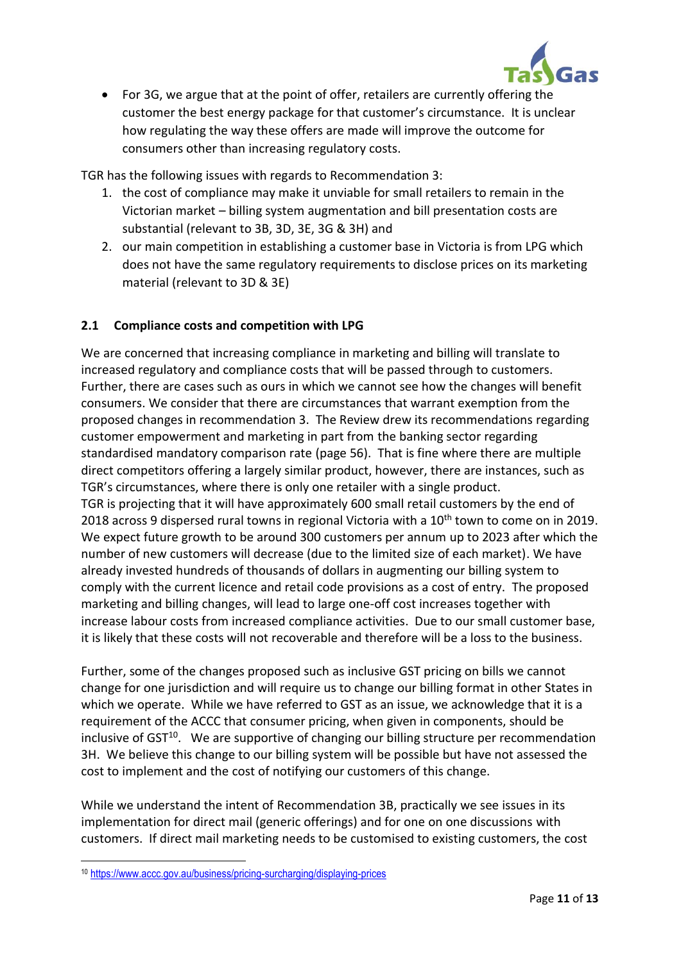

• For 3G, we argue that at the point of offer, retailers are currently offering the customer the best energy package for that customer's circumstance. It is unclear how regulating the way these offers are made will improve the outcome for consumers other than increasing regulatory costs.

TGR has the following issues with regards to Recommendation 3:

- 1. the cost of compliance may make it unviable for small retailers to remain in the Victorian market – billing system augmentation and bill presentation costs are substantial (relevant to 3B, 3D, 3E, 3G & 3H) and
- 2. our main competition in establishing a customer base in Victoria is from LPG which does not have the same regulatory requirements to disclose prices on its marketing material (relevant to 3D & 3E)

# **2.1 Compliance costs and competition with LPG**

We are concerned that increasing compliance in marketing and billing will translate to increased regulatory and compliance costs that will be passed through to customers. Further, there are cases such as ours in which we cannot see how the changes will benefit consumers. We consider that there are circumstances that warrant exemption from the proposed changes in recommendation 3. The Review drew its recommendations regarding customer empowerment and marketing in part from the banking sector regarding standardised mandatory comparison rate (page 56). That is fine where there are multiple direct competitors offering a largely similar product, however, there are instances, such as TGR's circumstances, where there is only one retailer with a single product. TGR is projecting that it will have approximately 600 small retail customers by the end of 2018 across 9 dispersed rural towns in regional Victoria with a 10<sup>th</sup> town to come on in 2019. We expect future growth to be around 300 customers per annum up to 2023 after which the number of new customers will decrease (due to the limited size of each market). We have already invested hundreds of thousands of dollars in augmenting our billing system to comply with the current licence and retail code provisions as a cost of entry. The proposed marketing and billing changes, will lead to large one-off cost increases together with increase labour costs from increased compliance activities. Due to our small customer base, it is likely that these costs will not recoverable and therefore will be a loss to the business.

Further, some of the changes proposed such as inclusive GST pricing on bills we cannot change for one jurisdiction and will require us to change our billing format in other States in which we operate. While we have referred to GST as an issue, we acknowledge that it is a requirement of the ACCC that consumer pricing, when given in components, should be inclusive of GST<sup>10</sup>. We are supportive of changing our billing structure per recommendation 3H. We believe this change to our billing system will be possible but have not assessed the cost to implement and the cost of notifying our customers of this change.

While we understand the intent of Recommendation 3B, practically we see issues in its implementation for direct mail (generic offerings) and for one on one discussions with customers. If direct mail marketing needs to be customised to existing customers, the cost

 $\overline{a}$ 

<sup>10</sup> <https://www.accc.gov.au/business/pricing-surcharging/displaying-prices>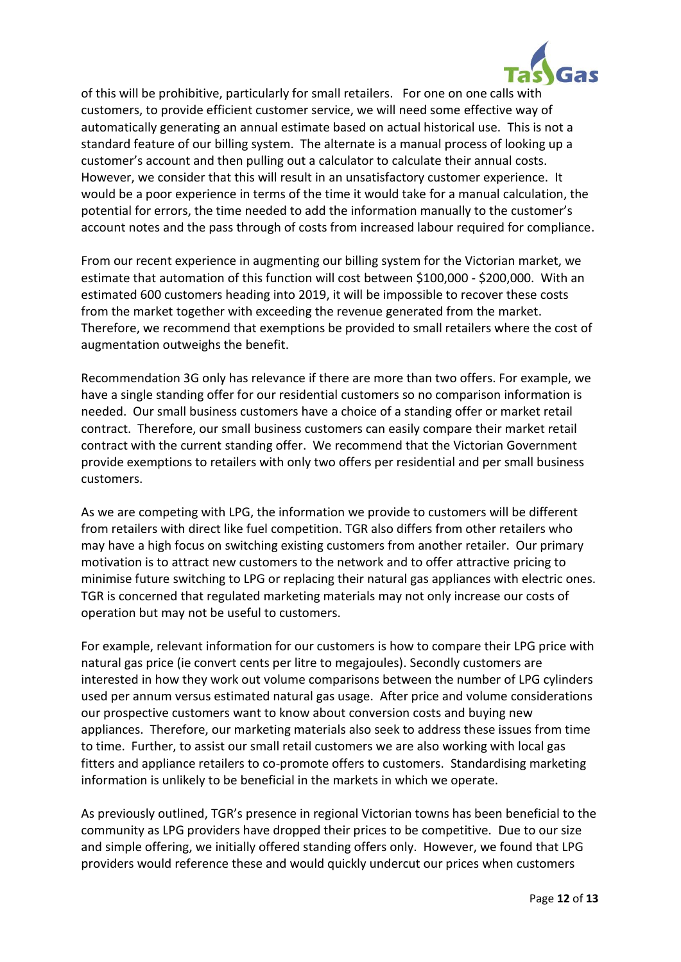

of this will be prohibitive, particularly for small retailers. For one on one calls with customers, to provide efficient customer service, we will need some effective way of automatically generating an annual estimate based on actual historical use. This is not a standard feature of our billing system. The alternate is a manual process of looking up a customer's account and then pulling out a calculator to calculate their annual costs. However, we consider that this will result in an unsatisfactory customer experience. It would be a poor experience in terms of the time it would take for a manual calculation, the potential for errors, the time needed to add the information manually to the customer's account notes and the pass through of costs from increased labour required for compliance.

From our recent experience in augmenting our billing system for the Victorian market, we estimate that automation of this function will cost between \$100,000 - \$200,000. With an estimated 600 customers heading into 2019, it will be impossible to recover these costs from the market together with exceeding the revenue generated from the market. Therefore, we recommend that exemptions be provided to small retailers where the cost of augmentation outweighs the benefit.

Recommendation 3G only has relevance if there are more than two offers. For example, we have a single standing offer for our residential customers so no comparison information is needed. Our small business customers have a choice of a standing offer or market retail contract. Therefore, our small business customers can easily compare their market retail contract with the current standing offer. We recommend that the Victorian Government provide exemptions to retailers with only two offers per residential and per small business customers.

As we are competing with LPG, the information we provide to customers will be different from retailers with direct like fuel competition. TGR also differs from other retailers who may have a high focus on switching existing customers from another retailer. Our primary motivation is to attract new customers to the network and to offer attractive pricing to minimise future switching to LPG or replacing their natural gas appliances with electric ones. TGR is concerned that regulated marketing materials may not only increase our costs of operation but may not be useful to customers.

For example, relevant information for our customers is how to compare their LPG price with natural gas price (ie convert cents per litre to megajoules). Secondly customers are interested in how they work out volume comparisons between the number of LPG cylinders used per annum versus estimated natural gas usage. After price and volume considerations our prospective customers want to know about conversion costs and buying new appliances. Therefore, our marketing materials also seek to address these issues from time to time. Further, to assist our small retail customers we are also working with local gas fitters and appliance retailers to co-promote offers to customers. Standardising marketing information is unlikely to be beneficial in the markets in which we operate.

As previously outlined, TGR's presence in regional Victorian towns has been beneficial to the community as LPG providers have dropped their prices to be competitive. Due to our size and simple offering, we initially offered standing offers only. However, we found that LPG providers would reference these and would quickly undercut our prices when customers